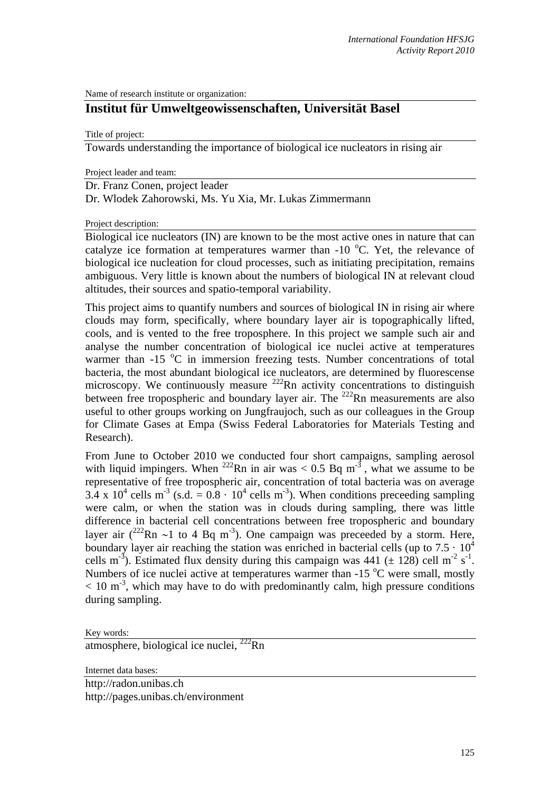Name of research institute or organization:

## **Institut für Umweltgeowissenschaften, Universität Basel**

Title of project:

Towards understanding the importance of biological ice nucleators in rising air

Project leader and team:

Dr. Franz Conen, project leader

Dr. Wlodek Zahorowski, Ms. Yu Xia, Mr. Lukas Zimmermann

Project description:

Biological ice nucleators (IN) are known to be the most active ones in nature that can catalyze ice formation at temperatures warmer than -10  $^{\circ}$ C. Yet, the relevance of biological ice nucleation for cloud processes, such as initiating precipitation, remains ambiguous. Very little is known about the numbers of biological IN at relevant cloud altitudes, their sources and spatio-temporal variability.

This project aims to quantify numbers and sources of biological IN in rising air where clouds may form, specifically, where boundary layer air is topographically lifted, cools, and is vented to the free troposphere. In this project we sample such air and analyse the number concentration of biological ice nuclei active at temperatures warmer than -15 °C in immersion freezing tests. Number concentrations of total bacteria, the most abundant biological ice nucleators, are determined by fluorescense microscopy. We continuously measure  $^{222}$ Rn activity concentrations to distinguish between free tropospheric and boundary layer air. The  $^{222}$ Rn measurements are also useful to other groups working on Jungfraujoch, such as our colleagues in the Group for Climate Gases at Empa (Swiss Federal Laboratories for Materials Testing and Research).

From June to October 2010 we conducted four short campaigns, sampling aerosol with liquid impingers. When <sup>222</sup>Rn in air was  $< 0.5$  Bq m<sup>-3</sup>, what we assume to be representative of free tropospheric air, concentration of total bacteria was on average  $3.4 \times 10^4$  cells m<sup>-3</sup> (s.d. =  $0.8 \cdot 10^4$  cells m<sup>-3</sup>). When conditions preceeding sampling were calm, or when the station was in clouds during sampling, there was little difference in bacterial cell concentrations between free tropospheric and boundary layer air  $(^{222}$ Rn ~1 to 4 Bq m<sup>-3</sup>). One campaign was preceded by a storm. Here, boundary layer air reaching the station was enriched in bacterial cells (up to  $7.5 \cdot 10^4$ ) cells m<sup>-3</sup>). Estimated flux density during this campaign was 441 ( $\pm$  128) cell m<sup>-2</sup> s<sup>-1</sup>. Numbers of ice nuclei active at temperatures warmer than -15 °C were small, mostly  $< 10 \text{ m}^3$ , which may have to do with predominantly calm, high pressure conditions during sampling.

Key words: atmosphere, biological ice nuclei,  $^{222}$ Rn

Internet data bases:

http://radon.unibas.ch http://pages.unibas.ch/environment